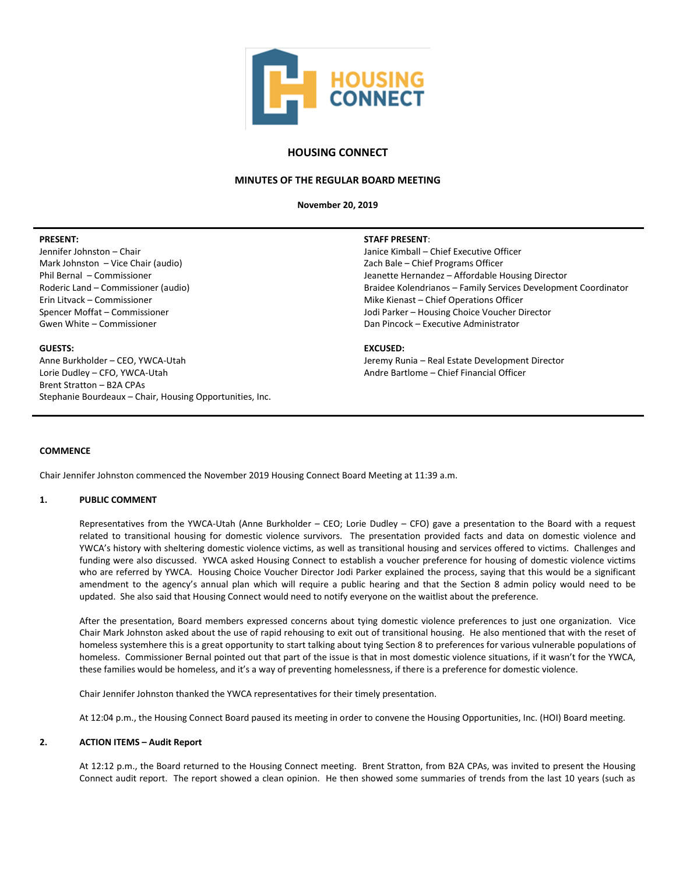

# **HOUSING CONNECT**

## **MINUTES OF THE REGULAR BOARD MEETING**

**November 20, 2019**

## **PRESENT:**

Jennifer Johnston – Chair Mark Johnston – Vice Chair (audio) Phil Bernal – Commissioner Roderic Land – Commissioner (audio) Erin Litvack – Commissioner Spencer Moffat – Commissioner Gwen White – Commissioner

## **GUESTS:**

Anne Burkholder – CEO, YWCA-Utah Lorie Dudley – CFO, YWCA-Utah Brent Stratton – B2A CPAs Stephanie Bourdeaux – Chair, Housing Opportunities, Inc.

#### **STAFF PRESENT**:

Janice Kimball – Chief Executive Officer Zach Bale – Chief Programs Officer Jeanette Hernandez – Affordable Housing Director Braidee Kolendrianos – Family Services Development Coordinator Mike Kienast – Chief Operations Officer Jodi Parker – Housing Choice Voucher Director Dan Pincock – Executive Administrator

## **EXCUSED:**

Jeremy Runia – Real Estate Development Director Andre Bartlome – Chief Financial Officer

## **COMMENCE**

Chair Jennifer Johnston commenced the November 2019 Housing Connect Board Meeting at 11:39 a.m.

## **1. PUBLIC COMMENT**

Representatives from the YWCA-Utah (Anne Burkholder – CEO; Lorie Dudley – CFO) gave a presentation to the Board with a request related to transitional housing for domestic violence survivors. The presentation provided facts and data on domestic violence and YWCA's history with sheltering domestic violence victims, as well as transitional housing and services offered to victims. Challenges and funding were also discussed. YWCA asked Housing Connect to establish a voucher preference for housing of domestic violence victims who are referred by YWCA. Housing Choice Voucher Director Jodi Parker explained the process, saying that this would be a significant amendment to the agency's annual plan which will require a public hearing and that the Section 8 admin policy would need to be updated. She also said that Housing Connect would need to notify everyone on the waitlist about the preference.

After the presentation, Board members expressed concerns about tying domestic violence preferences to just one organization. Vice Chair Mark Johnston asked about the use of rapid rehousing to exit out of transitional housing. He also mentioned that with the reset of homeless systemhere this is a great opportunity to start talking about tying Section 8 to preferences for various vulnerable populations of homeless. Commissioner Bernal pointed out that part of the issue is that in most domestic violence situations, if it wasn't for the YWCA, these families would be homeless, and it's a way of preventing homelessness, if there is a preference for domestic violence.

Chair Jennifer Johnston thanked the YWCA representatives for their timely presentation.

At 12:04 p.m., the Housing Connect Board paused its meeting in order to convene the Housing Opportunities, Inc. (HOI) Board meeting.

## **2. ACTION ITEMS – Audit Report**

At 12:12 p.m., the Board returned to the Housing Connect meeting. Brent Stratton, from B2A CPAs, was invited to present the Housing Connect audit report. The report showed a clean opinion. He then showed some summaries of trends from the last 10 years (such as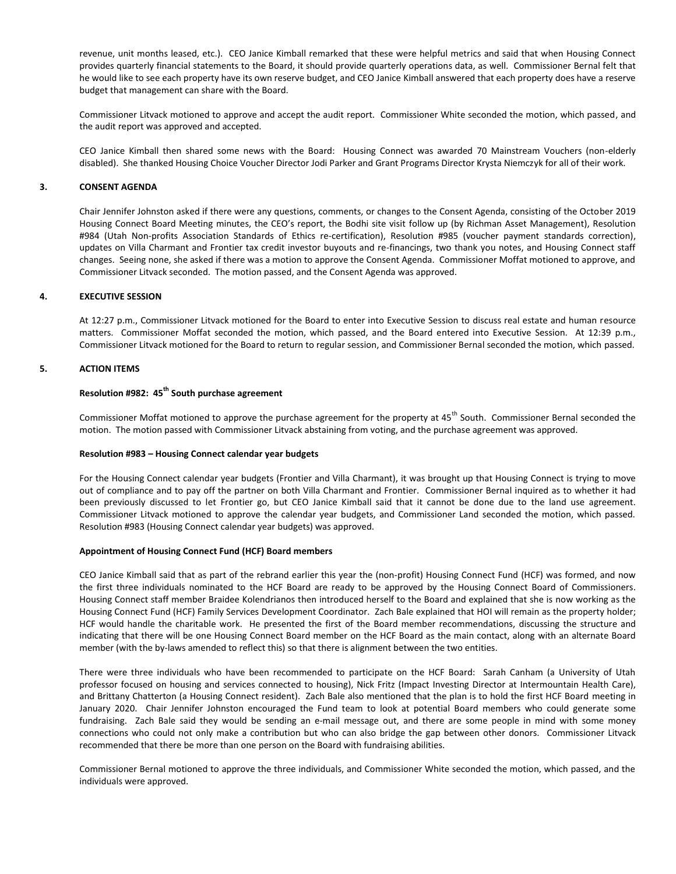revenue, unit months leased, etc.). CEO Janice Kimball remarked that these were helpful metrics and said that when Housing Connect provides quarterly financial statements to the Board, it should provide quarterly operations data, as well. Commissioner Bernal felt that he would like to see each property have its own reserve budget, and CEO Janice Kimball answered that each property does have a reserve budget that management can share with the Board.

Commissioner Litvack motioned to approve and accept the audit report. Commissioner White seconded the motion, which passed, and the audit report was approved and accepted.

CEO Janice Kimball then shared some news with the Board: Housing Connect was awarded 70 Mainstream Vouchers (non-elderly disabled). She thanked Housing Choice Voucher Director Jodi Parker and Grant Programs Director Krysta Niemczyk for all of their work.

## **3. CONSENT AGENDA**

Chair Jennifer Johnston asked if there were any questions, comments, or changes to the Consent Agenda, consisting of the October 2019 Housing Connect Board Meeting minutes, the CEO's report, the Bodhi site visit follow up (by Richman Asset Management), Resolution #984 (Utah Non-profits Association Standards of Ethics re-certification), Resolution #985 (voucher payment standards correction), updates on Villa Charmant and Frontier tax credit investor buyouts and re-financings, two thank you notes, and Housing Connect staff changes. Seeing none, she asked if there was a motion to approve the Consent Agenda. Commissioner Moffat motioned to approve, and Commissioner Litvack seconded. The motion passed, and the Consent Agenda was approved.

## **4. EXECUTIVE SESSION**

At 12:27 p.m., Commissioner Litvack motioned for the Board to enter into Executive Session to discuss real estate and human resource matters. Commissioner Moffat seconded the motion, which passed, and the Board entered into Executive Session. At 12:39 p.m., Commissioner Litvack motioned for the Board to return to regular session, and Commissioner Bernal seconded the motion, which passed.

## **5. ACTION ITEMS**

## **Resolution #982: 45th South purchase agreement**

Commissioner Moffat motioned to approve the purchase agreement for the property at  $45<sup>th</sup>$  South. Commissioner Bernal seconded the motion. The motion passed with Commissioner Litvack abstaining from voting, and the purchase agreement was approved.

## **Resolution #983 – Housing Connect calendar year budgets**

For the Housing Connect calendar year budgets (Frontier and Villa Charmant), it was brought up that Housing Connect is trying to move out of compliance and to pay off the partner on both Villa Charmant and Frontier. Commissioner Bernal inquired as to whether it had been previously discussed to let Frontier go, but CEO Janice Kimball said that it cannot be done due to the land use agreement. Commissioner Litvack motioned to approve the calendar year budgets, and Commissioner Land seconded the motion, which passed. Resolution #983 (Housing Connect calendar year budgets) was approved.

## **Appointment of Housing Connect Fund (HCF) Board members**

CEO Janice Kimball said that as part of the rebrand earlier this year the (non-profit) Housing Connect Fund (HCF) was formed, and now the first three individuals nominated to the HCF Board are ready to be approved by the Housing Connect Board of Commissioners. Housing Connect staff member Braidee Kolendrianos then introduced herself to the Board and explained that she is now working as the Housing Connect Fund (HCF) Family Services Development Coordinator. Zach Bale explained that HOI will remain as the property holder; HCF would handle the charitable work. He presented the first of the Board member recommendations, discussing the structure and indicating that there will be one Housing Connect Board member on the HCF Board as the main contact, along with an alternate Board member (with the by-laws amended to reflect this) so that there is alignment between the two entities.

There were three individuals who have been recommended to participate on the HCF Board: Sarah Canham (a University of Utah professor focused on housing and services connected to housing), Nick Fritz (Impact Investing Director at Intermountain Health Care), and Brittany Chatterton (a Housing Connect resident). Zach Bale also mentioned that the plan is to hold the first HCF Board meeting in January 2020. Chair Jennifer Johnston encouraged the Fund team to look at potential Board members who could generate some fundraising. Zach Bale said they would be sending an e-mail message out, and there are some people in mind with some money connections who could not only make a contribution but who can also bridge the gap between other donors. Commissioner Litvack recommended that there be more than one person on the Board with fundraising abilities.

Commissioner Bernal motioned to approve the three individuals, and Commissioner White seconded the motion, which passed, and the individuals were approved.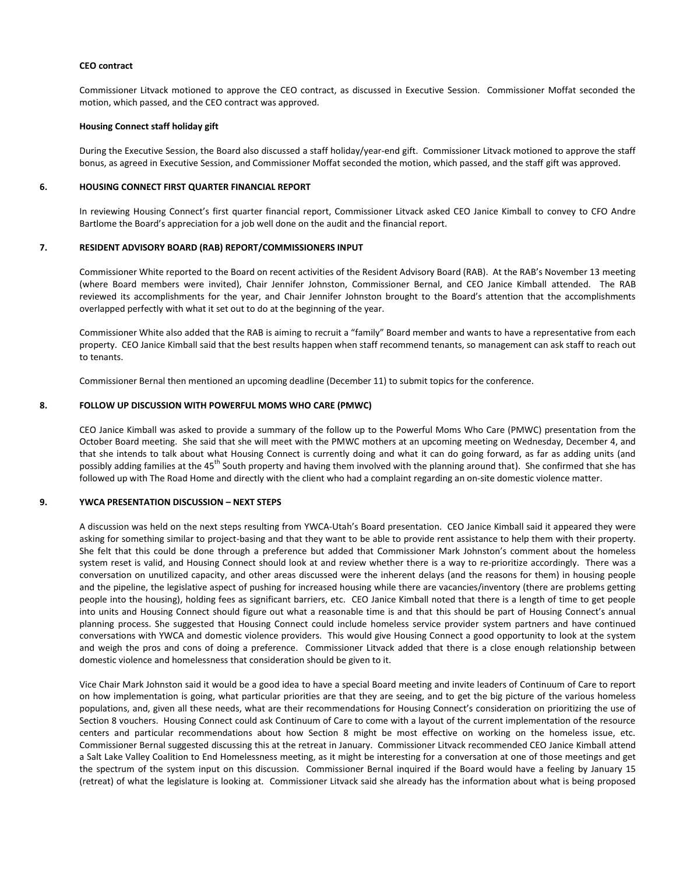#### **CEO contract**

Commissioner Litvack motioned to approve the CEO contract, as discussed in Executive Session. Commissioner Moffat seconded the motion, which passed, and the CEO contract was approved.

#### **Housing Connect staff holiday gift**

During the Executive Session, the Board also discussed a staff holiday/year-end gift. Commissioner Litvack motioned to approve the staff bonus, as agreed in Executive Session, and Commissioner Moffat seconded the motion, which passed, and the staff gift was approved.

## **6. HOUSING CONNECT FIRST QUARTER FINANCIAL REPORT**

In reviewing Housing Connect's first quarter financial report, Commissioner Litvack asked CEO Janice Kimball to convey to CFO Andre Bartlome the Board's appreciation for a job well done on the audit and the financial report.

#### **7. RESIDENT ADVISORY BOARD (RAB) REPORT/COMMISSIONERS INPUT**

Commissioner White reported to the Board on recent activities of the Resident Advisory Board (RAB). At the RAB's November 13 meeting (where Board members were invited), Chair Jennifer Johnston, Commissioner Bernal, and CEO Janice Kimball attended. The RAB reviewed its accomplishments for the year, and Chair Jennifer Johnston brought to the Board's attention that the accomplishments overlapped perfectly with what it set out to do at the beginning of the year.

Commissioner White also added that the RAB is aiming to recruit a "family" Board member and wants to have a representative from each property. CEO Janice Kimball said that the best results happen when staff recommend tenants, so management can ask staff to reach out to tenants.

Commissioner Bernal then mentioned an upcoming deadline (December 11) to submit topics for the conference.

## **8. FOLLOW UP DISCUSSION WITH POWERFUL MOMS WHO CARE (PMWC)**

CEO Janice Kimball was asked to provide a summary of the follow up to the Powerful Moms Who Care (PMWC) presentation from the October Board meeting. She said that she will meet with the PMWC mothers at an upcoming meeting on Wednesday, December 4, and that she intends to talk about what Housing Connect is currently doing and what it can do going forward, as far as adding units (and possibly adding families at the 45<sup>th</sup> South property and having them involved with the planning around that). She confirmed that she has followed up with The Road Home and directly with the client who had a complaint regarding an on-site domestic violence matter.

## **9. YWCA PRESENTATION DISCUSSION – NEXT STEPS**

A discussion was held on the next steps resulting from YWCA-Utah's Board presentation. CEO Janice Kimball said it appeared they were asking for something similar to project-basing and that they want to be able to provide rent assistance to help them with their property. She felt that this could be done through a preference but added that Commissioner Mark Johnston's comment about the homeless system reset is valid, and Housing Connect should look at and review whether there is a way to re-prioritize accordingly. There was a conversation on unutilized capacity, and other areas discussed were the inherent delays (and the reasons for them) in housing people and the pipeline, the legislative aspect of pushing for increased housing while there are vacancies/inventory (there are problems getting people into the housing), holding fees as significant barriers, etc. CEO Janice Kimball noted that there is a length of time to get people into units and Housing Connect should figure out what a reasonable time is and that this should be part of Housing Connect's annual planning process. She suggested that Housing Connect could include homeless service provider system partners and have continued conversations with YWCA and domestic violence providers. This would give Housing Connect a good opportunity to look at the system and weigh the pros and cons of doing a preference. Commissioner Litvack added that there is a close enough relationship between domestic violence and homelessness that consideration should be given to it.

Vice Chair Mark Johnston said it would be a good idea to have a special Board meeting and invite leaders of Continuum of Care to report on how implementation is going, what particular priorities are that they are seeing, and to get the big picture of the various homeless populations, and, given all these needs, what are their recommendations for Housing Connect's consideration on prioritizing the use of Section 8 vouchers. Housing Connect could ask Continuum of Care to come with a layout of the current implementation of the resource centers and particular recommendations about how Section 8 might be most effective on working on the homeless issue, etc. Commissioner Bernal suggested discussing this at the retreat in January. Commissioner Litvack recommended CEO Janice Kimball attend a Salt Lake Valley Coalition to End Homelessness meeting, as it might be interesting for a conversation at one of those meetings and get the spectrum of the system input on this discussion. Commissioner Bernal inquired if the Board would have a feeling by January 15 (retreat) of what the legislature is looking at. Commissioner Litvack said she already has the information about what is being proposed